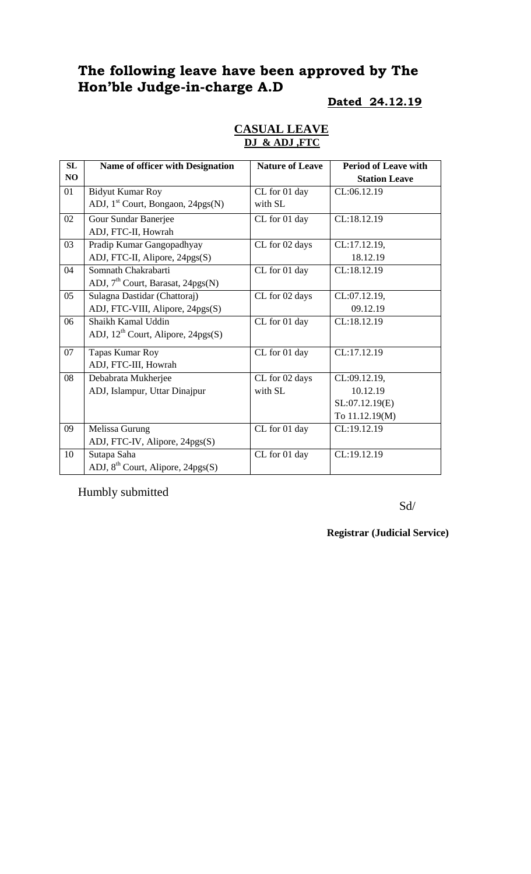# **The following leave have been approved by The Hon'ble Judge-in-charge A.D**

#### **Dated 24.12.19**

| <b>CASUAL LEAVE</b> |  |
|---------------------|--|
| DJ & ADJ .FTC       |  |

| SL | <b>Name of officer with Designation</b>        | <b>Nature of Leave</b> | <b>Period of Leave with</b> |
|----|------------------------------------------------|------------------------|-----------------------------|
| NO |                                                |                        | <b>Station Leave</b>        |
| 01 | <b>Bidyut Kumar Roy</b>                        | CL for 01 day          | CL:06.12.19                 |
|    | ADJ, $1st$ Court, Bongaon, 24pgs(N)            | with SL                |                             |
| 02 | Gour Sundar Banerjee                           | CL for 01 day          | CL:18.12.19                 |
|    | ADJ, FTC-II, Howrah                            |                        |                             |
| 03 | Pradip Kumar Gangopadhyay                      | CL for 02 days         | CL:17.12.19,                |
|    | ADJ, FTC-II, Alipore, 24pgs(S)                 |                        | 18.12.19                    |
| 04 | Somnath Chakrabarti                            | CL for 01 day          | CL:18.12.19                 |
|    | ADJ, 7 <sup>th</sup> Court, Barasat, 24pgs(N)  |                        |                             |
| 05 | Sulagna Dastidar (Chattoraj)                   | CL for 02 days         | CL:07.12.19,                |
|    | ADJ, FTC-VIII, Alipore, 24pgs(S)               |                        | 09.12.19                    |
| 06 | Shaikh Kamal Uddin                             | CL for 01 day          | CL:18.12.19                 |
|    | ADJ, 12 <sup>th</sup> Court, Alipore, 24pgs(S) |                        |                             |
| 07 | Tapas Kumar Roy                                | CL for 01 day          | CL:17.12.19                 |
|    | ADJ, FTC-III, Howrah                           |                        |                             |
| 08 | Debabrata Mukherjee                            | CL for 02 days         | CL:09.12.19,                |
|    | ADJ, Islampur, Uttar Dinajpur                  | with SL                | 10.12.19                    |
|    |                                                |                        | SL:07.12.19(E)              |
|    |                                                |                        | To 11.12.19(M)              |
| 09 | Melissa Gurung                                 | CL for 01 day          | CL:19.12.19                 |
|    | ADJ, FTC-IV, Alipore, 24pgs(S)                 |                        |                             |
| 10 | Sutapa Saha                                    | CL for 01 day          | CL:19.12.19                 |
|    | ADJ, 8 <sup>th</sup> Court, Alipore, 24pgs(S)  |                        |                             |

Humbly submitted

Sd/

**Registrar (Judicial Service)**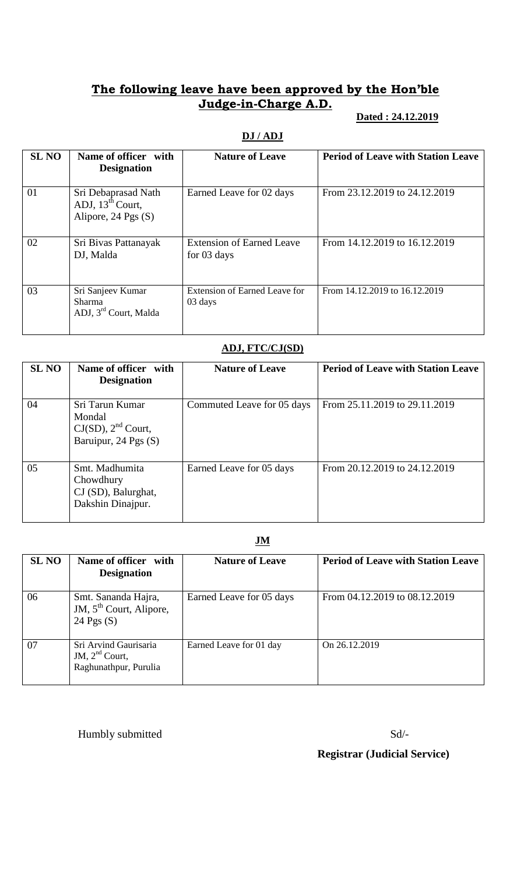# **The following leave have been approved by the Hon'ble Judge-in-Charge A.D.**

### **Dated : 24.12.2019**

### **DJ / ADJ**

| <b>SL NO</b> | Name of officer with<br><b>Designation</b>                                     | <b>Nature of Leave</b>                            | <b>Period of Leave with Station Leave</b> |
|--------------|--------------------------------------------------------------------------------|---------------------------------------------------|-------------------------------------------|
| 01           | Sri Debaprasad Nath<br>ADJ, $13^{\text{th}}$ Court,<br>Alipore, $24$ Pgs $(S)$ | Earned Leave for 02 days                          | From 23.12.2019 to 24.12.2019             |
| 02           | Sri Bivas Pattanayak<br>DJ, Malda                                              | <b>Extension of Earned Leave</b><br>for $03$ days | From 14.12.2019 to 16.12.2019             |
| 03           | Sri Sanjeev Kumar<br><b>Sharma</b><br>ADJ, 3rd Court, Malda                    | <b>Extension of Earned Leave for</b><br>03 days   | From 14.12.2019 to 16.12.2019             |

### **ADJ, FTC/CJ(SD)**

| <b>SL NO</b> | Name of officer with<br><b>Designation</b>                                   | <b>Nature of Leave</b>     | <b>Period of Leave with Station Leave</b> |
|--------------|------------------------------------------------------------------------------|----------------------------|-------------------------------------------|
| 04           | Sri Tarun Kumar<br>Mondal<br>$CJ(SD)$ , $2nd$ Court,<br>Baruipur, 24 Pgs (S) | Commuted Leave for 05 days | From 25.11.2019 to 29.11.2019             |
| 05           | Smt. Madhumita<br>Chowdhury<br>CJ (SD), Balurghat,<br>Dakshin Dinajpur.      | Earned Leave for 05 days   | From 20.12.2019 to 24.12.2019             |

## **JM**

| <b>SL NO</b> | Name of officer with<br><b>Designation</b>                                 | <b>Nature of Leave</b>   | <b>Period of Leave with Station Leave</b> |
|--------------|----------------------------------------------------------------------------|--------------------------|-------------------------------------------|
| 06           | Smt. Sananda Hajra,<br>JM, 5 <sup>th</sup> Court, Alipore,<br>24 Pgs $(S)$ | Earned Leave for 05 days | From 04.12.2019 to 08.12.2019             |
| 07           | Sri Arvind Gaurisaria<br>JM, $2nd$ Court,<br>Raghunathpur, Purulia         | Earned Leave for 01 day  | On 26.12.2019                             |

Humbly submitted Sd/-

# **Registrar (Judicial Service)**